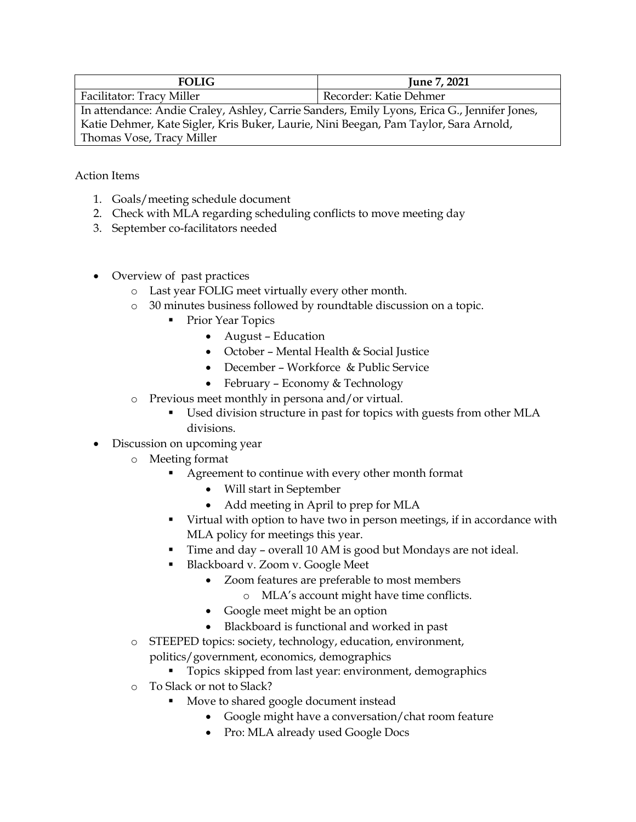| <b>FOLIG</b>                                                                                | June 7, 2021           |
|---------------------------------------------------------------------------------------------|------------------------|
| Facilitator: Tracy Miller                                                                   | Recorder: Katie Dehmer |
| In attendance: Andie Craley, Ashley, Carrie Sanders, Emily Lyons, Erica G., Jennifer Jones, |                        |
| Katie Dehmer, Kate Sigler, Kris Buker, Laurie, Nini Beegan, Pam Taylor, Sara Arnold,        |                        |
| Thomas Vose, Tracy Miller                                                                   |                        |

Action Items

- 1. Goals/meeting schedule document
- 2. Check with MLA regarding scheduling conflicts to move meeting day
- 3. September co-facilitators needed
- Overview of past practices
	- o Last year FOLIG meet virtually every other month.
	- o 30 minutes business followed by roundtable discussion on a topic.
		- Prior Year Topics
			- August Education
			- October Mental Health & Social Justice
			- December Workforce & Public Service
			- February Economy & Technology
	- o Previous meet monthly in persona and/or virtual.
		- Used division structure in past for topics with guests from other MLA divisions.
- Discussion on upcoming year
	- o Meeting format
		- Agreement to continue with every other month format
			- Will start in September
			- Add meeting in April to prep for MLA
		- § Virtual with option to have two in person meetings, if in accordance with MLA policy for meetings this year.
		- Time and day overall 10 AM is good but Mondays are not ideal.
		- § Blackboard v. Zoom v. Google Meet
			- Zoom features are preferable to most members
				- o MLA's account might have time conflicts.
			- Google meet might be an option
			- Blackboard is functional and worked in past
	- o STEEPED topics: society, technology, education, environment, politics/government, economics, demographics
		- Topics skipped from last year: environment, demographics
	- o To Slack or not to Slack?
		- § Move to shared google document instead
			- Google might have a conversation/chat room feature
			- Pro: MLA already used Google Docs